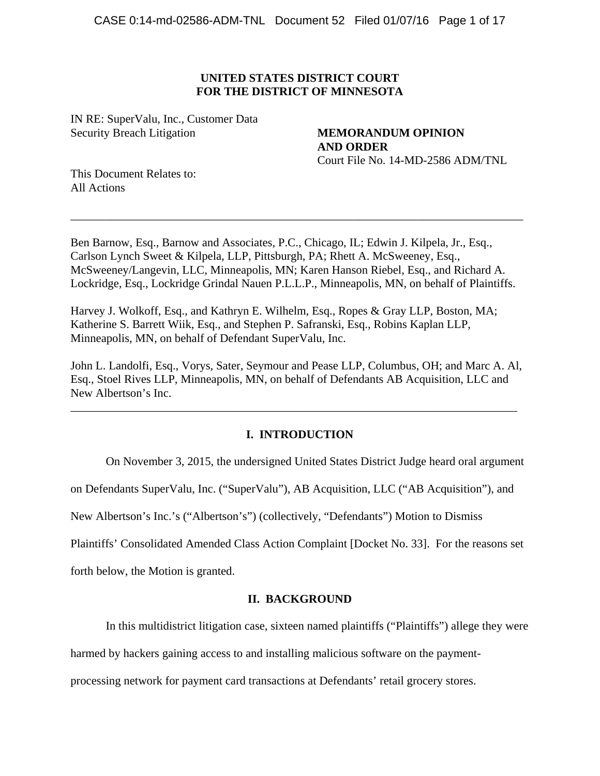# **UNITED STATES DISTRICT COURT FOR THE DISTRICT OF MINNESOTA**

IN RE: SuperValu, Inc., Customer Data Security Breach Litigation **MEMORANDUM OPINION** 

**AND ORDER**  Court File No. 14-MD-2586 ADM/TNL

This Document Relates to: All Actions

Ben Barnow, Esq., Barnow and Associates, P.C., Chicago, IL; Edwin J. Kilpela, Jr., Esq., Carlson Lynch Sweet & Kilpela, LLP, Pittsburgh, PA; Rhett A. McSweeney, Esq., McSweeney/Langevin, LLC, Minneapolis, MN; Karen Hanson Riebel, Esq., and Richard A. Lockridge, Esq., Lockridge Grindal Nauen P.L.L.P., Minneapolis, MN, on behalf of Plaintiffs.

\_\_\_\_\_\_\_\_\_\_\_\_\_\_\_\_\_\_\_\_\_\_\_\_\_\_\_\_\_\_\_\_\_\_\_\_\_\_\_\_\_\_\_\_\_\_\_\_\_\_\_\_\_\_\_\_\_\_\_\_\_\_\_\_\_\_\_\_\_\_\_\_\_\_\_\_\_

Harvey J. Wolkoff, Esq., and Kathryn E. Wilhelm, Esq., Ropes & Gray LLP, Boston, MA; Katherine S. Barrett Wiik, Esq., and Stephen P. Safranski, Esq., Robins Kaplan LLP, Minneapolis, MN, on behalf of Defendant SuperValu, Inc.

John L. Landolfi, Esq., Vorys, Sater, Seymour and Pease LLP, Columbus, OH; and Marc A. Al, Esq., Stoel Rives LLP, Minneapolis, MN, on behalf of Defendants AB Acquisition, LLC and New Albertson's Inc.

\_\_\_\_\_\_\_\_\_\_\_\_\_\_\_\_\_\_\_\_\_\_\_\_\_\_\_\_\_\_\_\_\_\_\_\_\_\_\_\_\_\_\_\_\_\_\_\_\_\_\_\_\_\_\_\_\_\_\_\_\_\_\_\_\_\_\_\_\_\_\_\_\_\_\_\_

# **I. INTRODUCTION**

On November 3, 2015, the undersigned United States District Judge heard oral argument

on Defendants SuperValu, Inc. ("SuperValu"), AB Acquisition, LLC ("AB Acquisition"), and

New Albertson's Inc.'s ("Albertson's") (collectively, "Defendants") Motion to Dismiss

Plaintiffs' Consolidated Amended Class Action Complaint [Docket No. 33]. For the reasons set

forth below, the Motion is granted.

## **II. BACKGROUND**

In this multidistrict litigation case, sixteen named plaintiffs ("Plaintiffs") allege they were

harmed by hackers gaining access to and installing malicious software on the payment-

processing network for payment card transactions at Defendants' retail grocery stores.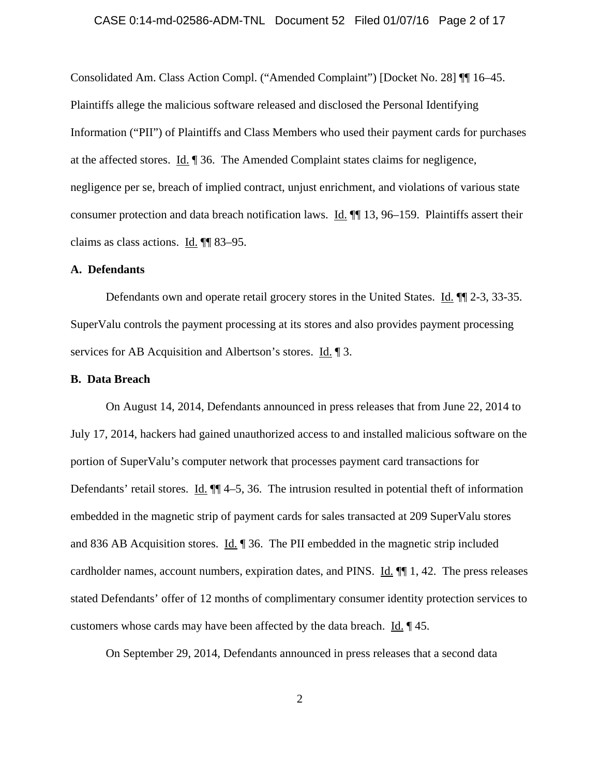### CASE 0:14-md-02586-ADM-TNL Document 52 Filed 01/07/16 Page 2 of 17

Consolidated Am. Class Action Compl. ("Amended Complaint") [Docket No. 28] ¶¶ 16–45. Plaintiffs allege the malicious software released and disclosed the Personal Identifying Information ("PII") of Plaintiffs and Class Members who used their payment cards for purchases at the affected stores. Id. ¶ 36. The Amended Complaint states claims for negligence, negligence per se, breach of implied contract, unjust enrichment, and violations of various state consumer protection and data breach notification laws. Id.  $\P$  13, 96–159. Plaintiffs assert their claims as class actions. <u>Id.</u>  $\P$  83–95.

## **A. Defendants**

Defendants own and operate retail grocery stores in the United States. Id.  $\P$ [12-3, 33-35.] SuperValu controls the payment processing at its stores and also provides payment processing services for AB Acquisition and Albertson's stores. Id. 1 3.

## **B. Data Breach**

On August 14, 2014, Defendants announced in press releases that from June 22, 2014 to July 17, 2014, hackers had gained unauthorized access to and installed malicious software on the portion of SuperValu's computer network that processes payment card transactions for Defendants' retail stores. Id.  $\P$  4–5, 36. The intrusion resulted in potential theft of information embedded in the magnetic strip of payment cards for sales transacted at 209 SuperValu stores and 836 AB Acquisition stores. Id. 1 36. The PII embedded in the magnetic strip included cardholder names, account numbers, expiration dates, and PINS. Id. ¶¶ 1, 42. The press releases stated Defendants' offer of 12 months of complimentary consumer identity protection services to customers whose cards may have been affected by the data breach. Id. ¶ 45.

On September 29, 2014, Defendants announced in press releases that a second data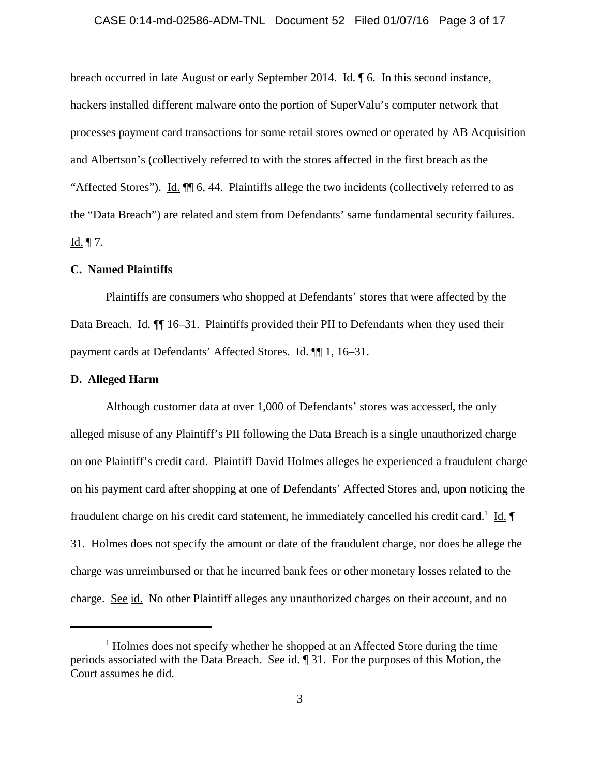### CASE 0:14-md-02586-ADM-TNL Document 52 Filed 01/07/16 Page 3 of 17

breach occurred in late August or early September 2014. Id. ¶ 6. In this second instance, hackers installed different malware onto the portion of SuperValu's computer network that processes payment card transactions for some retail stores owned or operated by AB Acquisition and Albertson's (collectively referred to with the stores affected in the first breach as the "Affected Stores"). Id.  $\P$  6, 44. Plaintiffs allege the two incidents (collectively referred to as the "Data Breach") are related and stem from Defendants' same fundamental security failures. Id.  $\P$  7.

## **C. Named Plaintiffs**

Plaintiffs are consumers who shopped at Defendants' stores that were affected by the Data Breach. Id.  $\P$  16–31. Plaintiffs provided their PII to Defendants when they used their payment cards at Defendants' Affected Stores. Id. ¶¶ 1, 16–31.

## **D. Alleged Harm**

Although customer data at over 1,000 of Defendants' stores was accessed, the only alleged misuse of any Plaintiff's PII following the Data Breach is a single unauthorized charge on one Plaintiff's credit card. Plaintiff David Holmes alleges he experienced a fraudulent charge on his payment card after shopping at one of Defendants' Affected Stores and, upon noticing the fraudulent charge on his credit card statement, he immediately cancelled his credit card.<sup>1</sup> Id. 31. Holmes does not specify the amount or date of the fraudulent charge, nor does he allege the charge was unreimbursed or that he incurred bank fees or other monetary losses related to the charge. See id. No other Plaintiff alleges any unauthorized charges on their account, and no

<sup>&</sup>lt;sup>1</sup> Holmes does not specify whether he shopped at an Affected Store during the time periods associated with the Data Breach. See id. ¶ 31. For the purposes of this Motion, the Court assumes he did.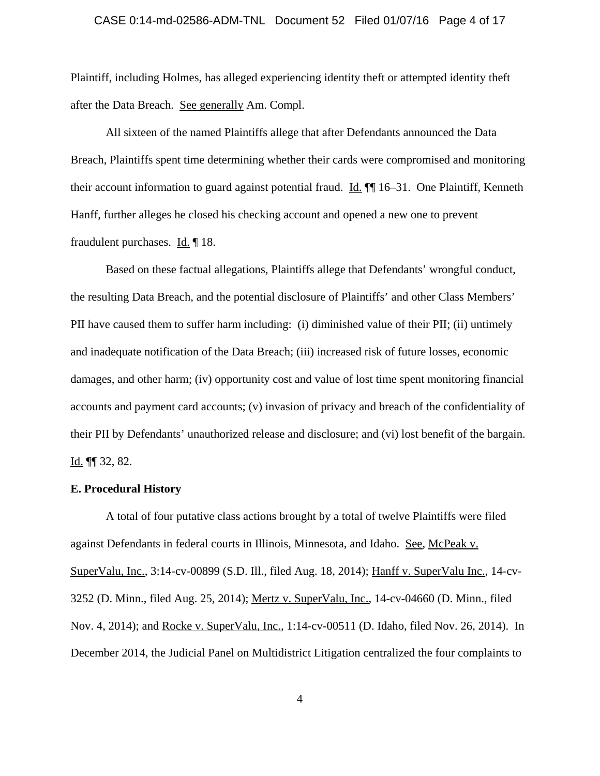#### CASE 0:14-md-02586-ADM-TNL Document 52 Filed 01/07/16 Page 4 of 17

Plaintiff, including Holmes, has alleged experiencing identity theft or attempted identity theft after the Data Breach. See generally Am. Compl.

All sixteen of the named Plaintiffs allege that after Defendants announced the Data Breach, Plaintiffs spent time determining whether their cards were compromised and monitoring their account information to guard against potential fraud. Id.  $\P$  16–31. One Plaintiff, Kenneth Hanff, further alleges he closed his checking account and opened a new one to prevent fraudulent purchases. Id. ¶ 18.

Based on these factual allegations, Plaintiffs allege that Defendants' wrongful conduct, the resulting Data Breach, and the potential disclosure of Plaintiffs' and other Class Members' PII have caused them to suffer harm including: (i) diminished value of their PII; (ii) untimely and inadequate notification of the Data Breach; (iii) increased risk of future losses, economic damages, and other harm; (iv) opportunity cost and value of lost time spent monitoring financial accounts and payment card accounts; (v) invasion of privacy and breach of the confidentiality of their PII by Defendants' unauthorized release and disclosure; and (vi) lost benefit of the bargain. Id. ¶¶ 32, 82.

### **E. Procedural History**

A total of four putative class actions brought by a total of twelve Plaintiffs were filed against Defendants in federal courts in Illinois, Minnesota, and Idaho. See, McPeak v. SuperValu, Inc., 3:14-cv-00899 (S.D. Ill., filed Aug. 18, 2014); Hanff v. SuperValu Inc., 14-cv-3252 (D. Minn., filed Aug. 25, 2014); Mertz v. SuperValu, Inc., 14-cv-04660 (D. Minn., filed Nov. 4, 2014); and Rocke v. SuperValu, Inc., 1:14-cv-00511 (D. Idaho, filed Nov. 26, 2014). In December 2014, the Judicial Panel on Multidistrict Litigation centralized the four complaints to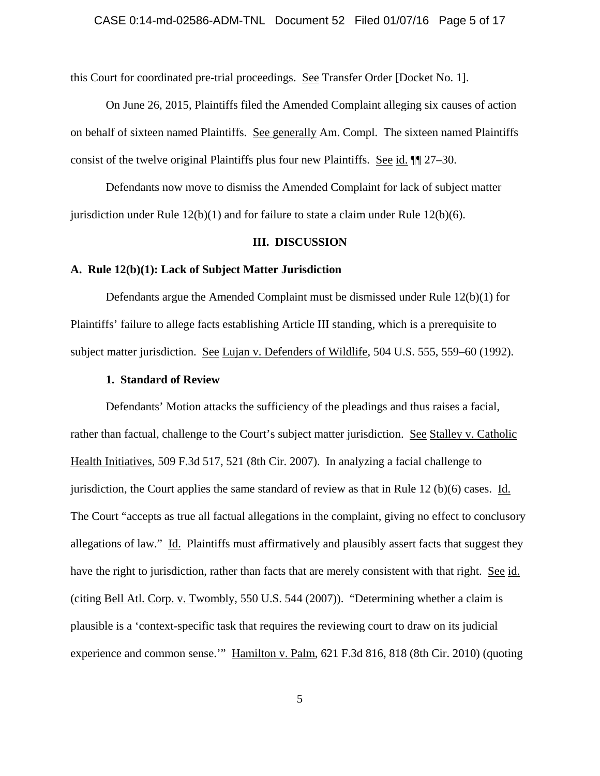this Court for coordinated pre-trial proceedings. See Transfer Order [Docket No. 1].

On June 26, 2015, Plaintiffs filed the Amended Complaint alleging six causes of action on behalf of sixteen named Plaintiffs. See generally Am. Compl. The sixteen named Plaintiffs consist of the twelve original Plaintiffs plus four new Plaintiffs. See id. ¶¶ 27–30.

Defendants now move to dismiss the Amended Complaint for lack of subject matter jurisdiction under Rule  $12(b)(1)$  and for failure to state a claim under Rule  $12(b)(6)$ .

## **III. DISCUSSION**

### **A. Rule 12(b)(1): Lack of Subject Matter Jurisdiction**

Defendants argue the Amended Complaint must be dismissed under Rule 12(b)(1) for Plaintiffs' failure to allege facts establishing Article III standing, which is a prerequisite to subject matter jurisdiction. See Lujan v. Defenders of Wildlife, 504 U.S. 555, 559–60 (1992).

## **1. Standard of Review**

Defendants' Motion attacks the sufficiency of the pleadings and thus raises a facial, rather than factual, challenge to the Court's subject matter jurisdiction. See Stalley v. Catholic Health Initiatives, 509 F.3d 517, 521 (8th Cir. 2007). In analyzing a facial challenge to jurisdiction, the Court applies the same standard of review as that in Rule 12 (b)(6) cases. Id. The Court "accepts as true all factual allegations in the complaint, giving no effect to conclusory allegations of law." Id. Plaintiffs must affirmatively and plausibly assert facts that suggest they have the right to jurisdiction, rather than facts that are merely consistent with that right. See id. (citing Bell Atl. Corp. v. Twombly, 550 U.S. 544 (2007)). "Determining whether a claim is plausible is a 'context-specific task that requires the reviewing court to draw on its judicial experience and common sense.'" Hamilton v. Palm, 621 F.3d 816, 818 (8th Cir. 2010) (quoting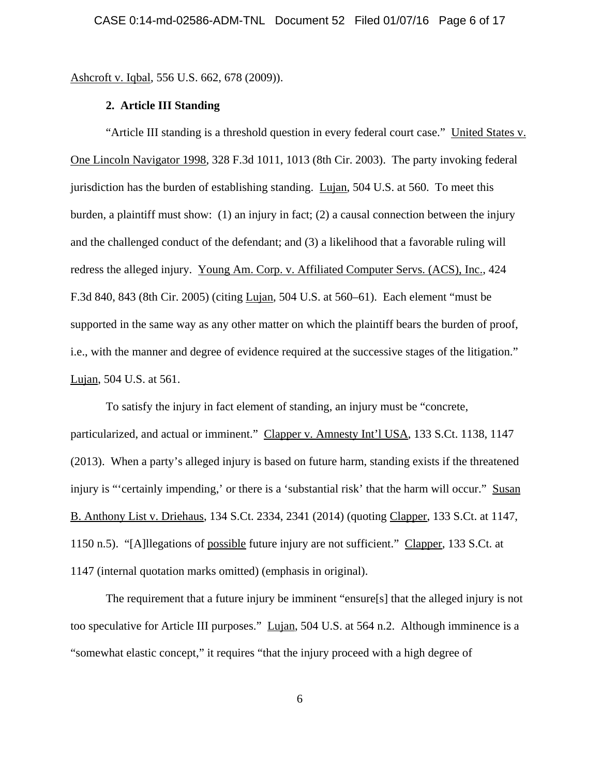Ashcroft v. Iqbal, 556 U.S. 662, 678 (2009)).

## **2. Article III Standing**

"Article III standing is a threshold question in every federal court case." United States v. One Lincoln Navigator 1998, 328 F.3d 1011, 1013 (8th Cir. 2003). The party invoking federal jurisdiction has the burden of establishing standing. Lujan, 504 U.S. at 560. To meet this burden, a plaintiff must show: (1) an injury in fact; (2) a causal connection between the injury and the challenged conduct of the defendant; and (3) a likelihood that a favorable ruling will redress the alleged injury. Young Am. Corp. v. Affiliated Computer Servs. (ACS), Inc., 424 F.3d 840, 843 (8th Cir. 2005) (citing Lujan, 504 U.S. at 560–61). Each element "must be supported in the same way as any other matter on which the plaintiff bears the burden of proof, i.e., with the manner and degree of evidence required at the successive stages of the litigation." Lujan, 504 U.S. at 561.

To satisfy the injury in fact element of standing, an injury must be "concrete, particularized, and actual or imminent." Clapper v. Amnesty Int'l USA, 133 S.Ct. 1138, 1147 (2013). When a party's alleged injury is based on future harm, standing exists if the threatened injury is "'certainly impending,' or there is a 'substantial risk' that the harm will occur." Susan B. Anthony List v. Driehaus, 134 S.Ct. 2334, 2341 (2014) (quoting Clapper, 133 S.Ct. at 1147, 1150 n.5). "[A]llegations of possible future injury are not sufficient." Clapper, 133 S.Ct. at 1147 (internal quotation marks omitted) (emphasis in original).

The requirement that a future injury be imminent "ensure[s] that the alleged injury is not too speculative for Article III purposes." Lujan, 504 U.S. at 564 n.2. Although imminence is a "somewhat elastic concept," it requires "that the injury proceed with a high degree of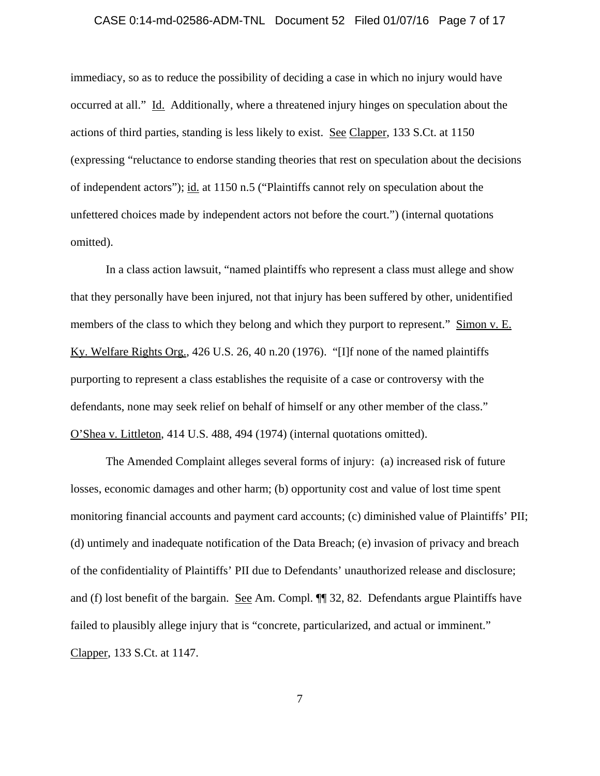#### CASE 0:14-md-02586-ADM-TNL Document 52 Filed 01/07/16 Page 7 of 17

immediacy, so as to reduce the possibility of deciding a case in which no injury would have occurred at all." Id. Additionally, where a threatened injury hinges on speculation about the actions of third parties, standing is less likely to exist. See Clapper, 133 S.Ct. at 1150 (expressing "reluctance to endorse standing theories that rest on speculation about the decisions of independent actors"); id. at 1150 n.5 ("Plaintiffs cannot rely on speculation about the unfettered choices made by independent actors not before the court.") (internal quotations omitted).

In a class action lawsuit, "named plaintiffs who represent a class must allege and show that they personally have been injured, not that injury has been suffered by other, unidentified members of the class to which they belong and which they purport to represent." Simon v. E. Ky. Welfare Rights Org., 426 U.S. 26, 40 n.20 (1976). "[I]f none of the named plaintiffs purporting to represent a class establishes the requisite of a case or controversy with the defendants, none may seek relief on behalf of himself or any other member of the class." O'Shea v. Littleton, 414 U.S. 488, 494 (1974) (internal quotations omitted).

The Amended Complaint alleges several forms of injury: (a) increased risk of future losses, economic damages and other harm; (b) opportunity cost and value of lost time spent monitoring financial accounts and payment card accounts; (c) diminished value of Plaintiffs' PII; (d) untimely and inadequate notification of the Data Breach; (e) invasion of privacy and breach of the confidentiality of Plaintiffs' PII due to Defendants' unauthorized release and disclosure; and (f) lost benefit of the bargain. See Am. Compl. ¶¶ 32, 82. Defendants argue Plaintiffs have failed to plausibly allege injury that is "concrete, particularized, and actual or imminent." Clapper, 133 S.Ct. at 1147.

7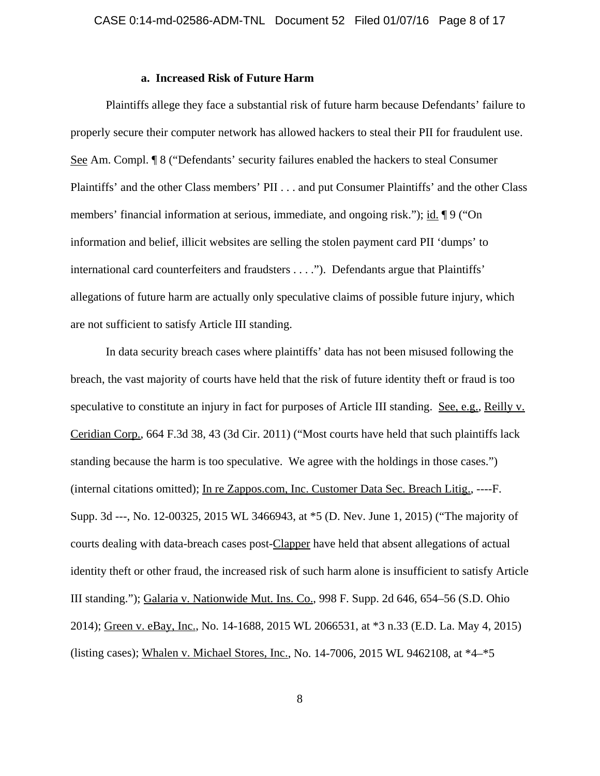## **a. Increased Risk of Future Harm**

Plaintiffs allege they face a substantial risk of future harm because Defendants' failure to properly secure their computer network has allowed hackers to steal their PII for fraudulent use. See Am. Compl. ¶ 8 ("Defendants' security failures enabled the hackers to steal Consumer Plaintiffs' and the other Class members' PII . . . and put Consumer Plaintiffs' and the other Class members' financial information at serious, immediate, and ongoing risk."); id. ¶ 9 ("On information and belief, illicit websites are selling the stolen payment card PII 'dumps' to international card counterfeiters and fraudsters . . . ."). Defendants argue that Plaintiffs' allegations of future harm are actually only speculative claims of possible future injury, which are not sufficient to satisfy Article III standing.

In data security breach cases where plaintiffs' data has not been misused following the breach, the vast majority of courts have held that the risk of future identity theft or fraud is too speculative to constitute an injury in fact for purposes of Article III standing. See, e.g., Reilly v. Ceridian Corp., 664 F.3d 38, 43 (3d Cir. 2011) ("Most courts have held that such plaintiffs lack standing because the harm is too speculative. We agree with the holdings in those cases.") (internal citations omitted); In re Zappos.com, Inc. Customer Data Sec. Breach Litig., ----F. Supp. 3d ---, No. 12-00325, 2015 WL 3466943, at \*5 (D. Nev. June 1, 2015) ("The majority of courts dealing with data-breach cases post-Clapper have held that absent allegations of actual identity theft or other fraud, the increased risk of such harm alone is insufficient to satisfy Article III standing."); Galaria v. Nationwide Mut. Ins. Co., 998 F. Supp. 2d 646, 654–56 (S.D. Ohio 2014); Green v. eBay, Inc., No. 14-1688, 2015 WL 2066531, at \*3 n.33 (E.D. La. May 4, 2015) (listing cases); Whalen v. Michael Stores, Inc., No. 14-7006, 2015 WL 9462108, at \*4–\*5

8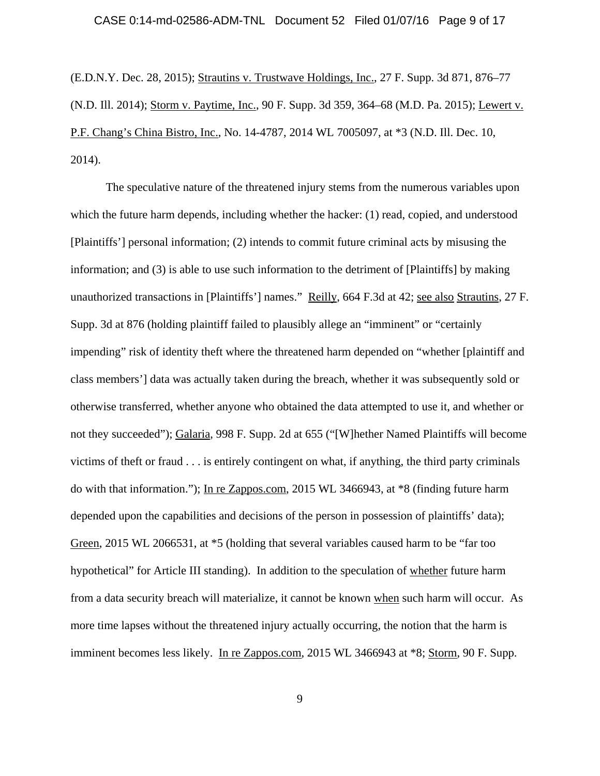#### CASE 0:14-md-02586-ADM-TNL Document 52 Filed 01/07/16 Page 9 of 17

(E.D.N.Y. Dec. 28, 2015); Strautins v. Trustwave Holdings, Inc., 27 F. Supp. 3d 871, 876–77 (N.D. Ill. 2014); Storm v. Paytime, Inc., 90 F. Supp. 3d 359, 364–68 (M.D. Pa. 2015); Lewert v. P.F. Chang's China Bistro, Inc., No. 14-4787, 2014 WL 7005097, at \*3 (N.D. Ill. Dec. 10, 2014).

The speculative nature of the threatened injury stems from the numerous variables upon which the future harm depends, including whether the hacker: (1) read, copied, and understood [Plaintiffs'] personal information; (2) intends to commit future criminal acts by misusing the information; and (3) is able to use such information to the detriment of [Plaintiffs] by making unauthorized transactions in [Plaintiffs'] names." Reilly, 664 F.3d at 42; see also Strautins, 27 F. Supp. 3d at 876 (holding plaintiff failed to plausibly allege an "imminent" or "certainly impending" risk of identity theft where the threatened harm depended on "whether [plaintiff and class members'] data was actually taken during the breach, whether it was subsequently sold or otherwise transferred, whether anyone who obtained the data attempted to use it, and whether or not they succeeded"); Galaria, 998 F. Supp. 2d at 655 ("[W]hether Named Plaintiffs will become victims of theft or fraud . . . is entirely contingent on what, if anything, the third party criminals do with that information."); In re Zappos.com, 2015 WL 3466943, at \*8 (finding future harm depended upon the capabilities and decisions of the person in possession of plaintiffs' data); Green, 2015 WL 2066531, at \*5 (holding that several variables caused harm to be "far too hypothetical" for Article III standing). In addition to the speculation of whether future harm from a data security breach will materialize, it cannot be known when such harm will occur. As more time lapses without the threatened injury actually occurring, the notion that the harm is imminent becomes less likely. In re Zappos.com, 2015 WL 3466943 at \*8; Storm, 90 F. Supp.

9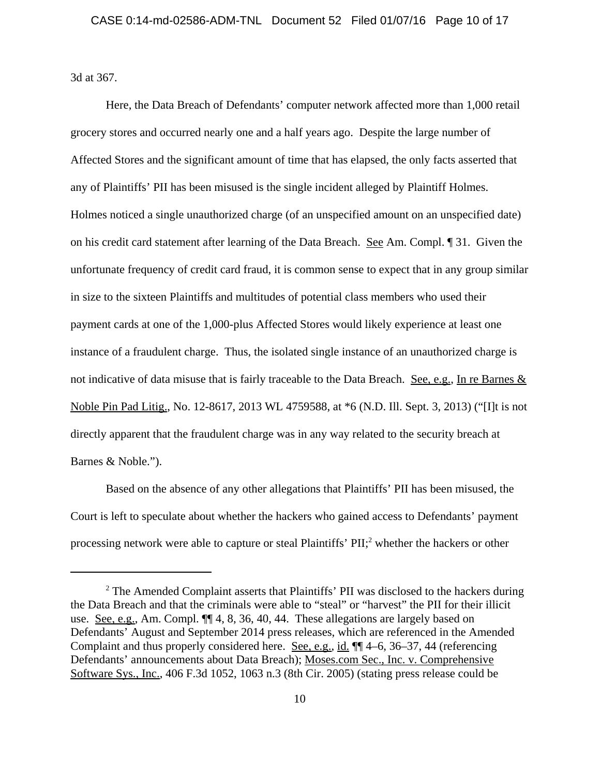3d at 367.

Here, the Data Breach of Defendants' computer network affected more than 1,000 retail grocery stores and occurred nearly one and a half years ago. Despite the large number of Affected Stores and the significant amount of time that has elapsed, the only facts asserted that any of Plaintiffs' PII has been misused is the single incident alleged by Plaintiff Holmes. Holmes noticed a single unauthorized charge (of an unspecified amount on an unspecified date) on his credit card statement after learning of the Data Breach. See Am. Compl. ¶ 31. Given the unfortunate frequency of credit card fraud, it is common sense to expect that in any group similar in size to the sixteen Plaintiffs and multitudes of potential class members who used their payment cards at one of the 1,000-plus Affected Stores would likely experience at least one instance of a fraudulent charge. Thus, the isolated single instance of an unauthorized charge is not indicative of data misuse that is fairly traceable to the Data Breach. See, e.g., In re Barnes & Noble Pin Pad Litig., No. 12-8617, 2013 WL 4759588, at \*6 (N.D. Ill. Sept. 3, 2013) ("[I]t is not directly apparent that the fraudulent charge was in any way related to the security breach at Barnes & Noble.").

Based on the absence of any other allegations that Plaintiffs' PII has been misused, the Court is left to speculate about whether the hackers who gained access to Defendants' payment processing network were able to capture or steal Plaintiffs' PII;<sup>2</sup> whether the hackers or other

 $2$  The Amended Complaint asserts that Plaintiffs' PII was disclosed to the hackers during the Data Breach and that the criminals were able to "steal" or "harvest" the PII for their illicit use. <u>See, e.g.</u>, Am. Compl.  $\P\P$  4, 8, 36, 40, 44. These allegations are largely based on Defendants' August and September 2014 press releases, which are referenced in the Amended Complaint and thus properly considered here. See, e.g., id. ¶¶ 4–6, 36–37, 44 (referencing Defendants' announcements about Data Breach); Moses.com Sec., Inc. v. Comprehensive Software Sys., Inc., 406 F.3d 1052, 1063 n.3 (8th Cir. 2005) (stating press release could be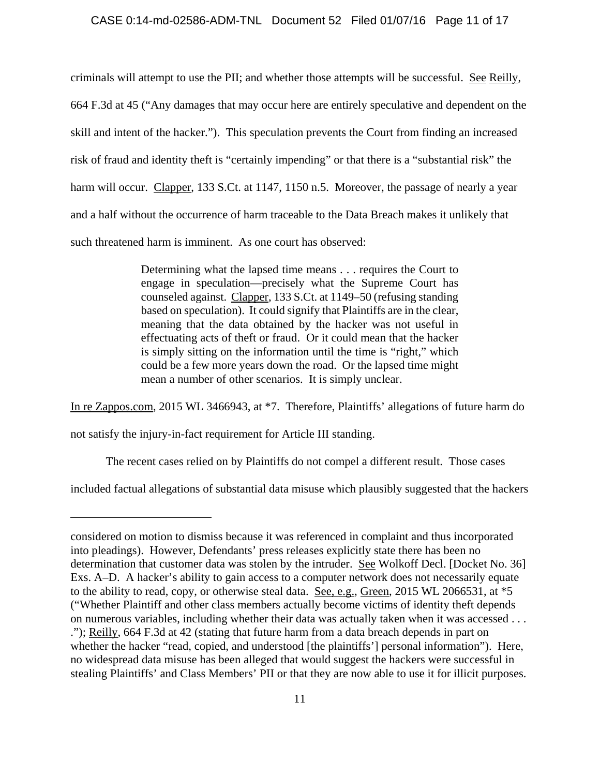#### CASE 0:14-md-02586-ADM-TNL Document 52 Filed 01/07/16 Page 11 of 17

criminals will attempt to use the PII; and whether those attempts will be successful. See Reilly, 664 F.3d at 45 ("Any damages that may occur here are entirely speculative and dependent on the skill and intent of the hacker."). This speculation prevents the Court from finding an increased risk of fraud and identity theft is "certainly impending" or that there is a "substantial risk" the harm will occur. Clapper, 133 S.Ct. at 1147, 1150 n.5. Moreover, the passage of nearly a year and a half without the occurrence of harm traceable to the Data Breach makes it unlikely that such threatened harm is imminent. As one court has observed:

> Determining what the lapsed time means . . . requires the Court to engage in speculation—precisely what the Supreme Court has counseled against. Clapper, 133 S.Ct. at 1149–50 (refusing standing based on speculation). It could signify that Plaintiffs are in the clear, meaning that the data obtained by the hacker was not useful in effectuating acts of theft or fraud. Or it could mean that the hacker is simply sitting on the information until the time is "right," which could be a few more years down the road. Or the lapsed time might mean a number of other scenarios. It is simply unclear.

In re Zappos.com, 2015 WL 3466943, at \*7. Therefore, Plaintiffs' allegations of future harm do

not satisfy the injury-in-fact requirement for Article III standing.

The recent cases relied on by Plaintiffs do not compel a different result. Those cases

included factual allegations of substantial data misuse which plausibly suggested that the hackers

considered on motion to dismiss because it was referenced in complaint and thus incorporated into pleadings). However, Defendants' press releases explicitly state there has been no determination that customer data was stolen by the intruder. See Wolkoff Decl. [Docket No. 36] Exs. A–D. A hacker's ability to gain access to a computer network does not necessarily equate to the ability to read, copy, or otherwise steal data. See, e.g., Green, 2015 WL 2066531, at \*5 ("Whether Plaintiff and other class members actually become victims of identity theft depends on numerous variables, including whether their data was actually taken when it was accessed . . . ."); Reilly, 664 F.3d at 42 (stating that future harm from a data breach depends in part on whether the hacker "read, copied, and understood [the plaintiffs'] personal information"). Here, no widespread data misuse has been alleged that would suggest the hackers were successful in stealing Plaintiffs' and Class Members' PII or that they are now able to use it for illicit purposes.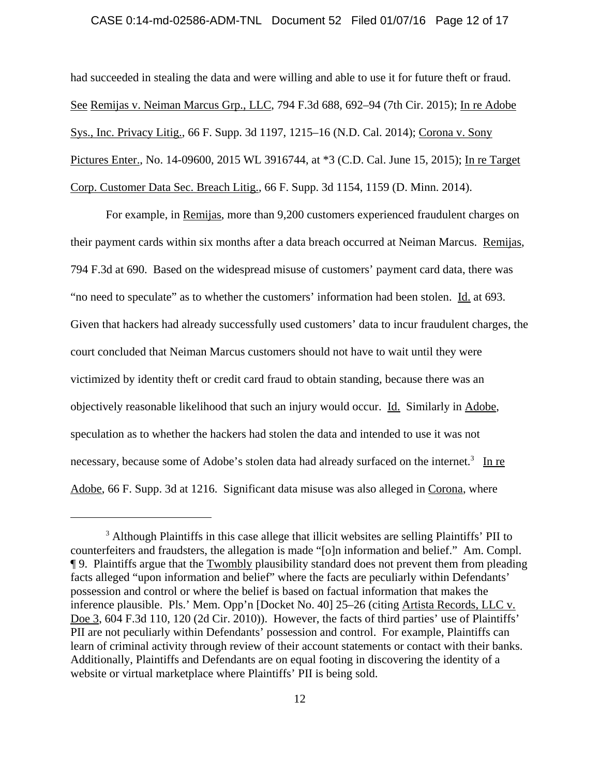### CASE 0:14-md-02586-ADM-TNL Document 52 Filed 01/07/16 Page 12 of 17

had succeeded in stealing the data and were willing and able to use it for future theft or fraud. See Remijas v. Neiman Marcus Grp., LLC, 794 F.3d 688, 692–94 (7th Cir. 2015); In re Adobe Sys., Inc. Privacy Litig., 66 F. Supp. 3d 1197, 1215–16 (N.D. Cal. 2014); Corona v. Sony Pictures Enter., No. 14-09600, 2015 WL 3916744, at \*3 (C.D. Cal. June 15, 2015); In re Target Corp. Customer Data Sec. Breach Litig., 66 F. Supp. 3d 1154, 1159 (D. Minn. 2014).

For example, in Remijas, more than 9,200 customers experienced fraudulent charges on their payment cards within six months after a data breach occurred at Neiman Marcus. Remijas, 794 F.3d at 690. Based on the widespread misuse of customers' payment card data, there was "no need to speculate" as to whether the customers' information had been stolen. Id. at 693. Given that hackers had already successfully used customers' data to incur fraudulent charges, the court concluded that Neiman Marcus customers should not have to wait until they were victimized by identity theft or credit card fraud to obtain standing, because there was an objectively reasonable likelihood that such an injury would occur. Id. Similarly in Adobe, speculation as to whether the hackers had stolen the data and intended to use it was not necessary, because some of Adobe's stolen data had already surfaced on the internet.<sup>3</sup> In re Adobe, 66 F. Supp. 3d at 1216. Significant data misuse was also alleged in Corona, where

<sup>&</sup>lt;sup>3</sup> Although Plaintiffs in this case allege that illicit websites are selling Plaintiffs' PII to counterfeiters and fraudsters, the allegation is made "[o]n information and belief." Am. Compl. ¶ 9. Plaintiffs argue that the Twombly plausibility standard does not prevent them from pleading facts alleged "upon information and belief" where the facts are peculiarly within Defendants' possession and control or where the belief is based on factual information that makes the inference plausible. Pls.' Mem. Opp'n [Docket No. 40] 25–26 (citing Artista Records, LLC v. Doe 3, 604 F.3d 110, 120 (2d Cir. 2010)). However, the facts of third parties' use of Plaintiffs' PII are not peculiarly within Defendants' possession and control. For example, Plaintiffs can learn of criminal activity through review of their account statements or contact with their banks. Additionally, Plaintiffs and Defendants are on equal footing in discovering the identity of a website or virtual marketplace where Plaintiffs' PII is being sold.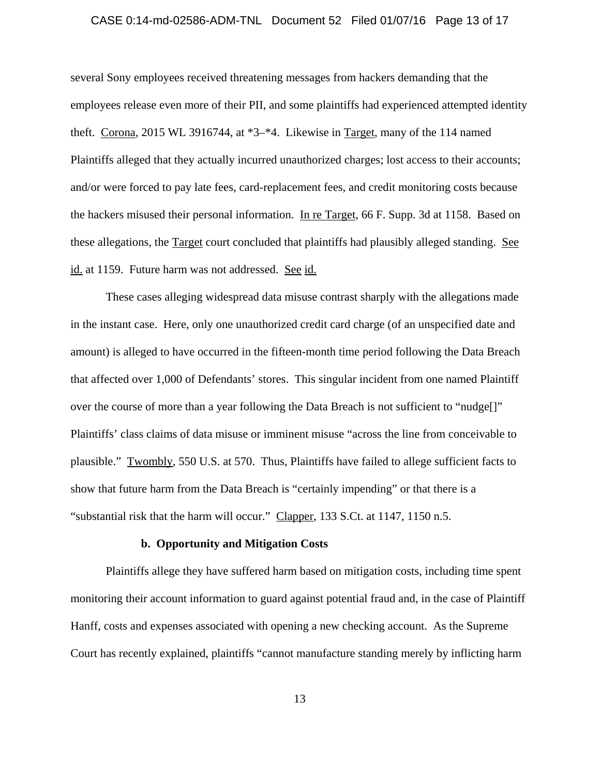### CASE 0:14-md-02586-ADM-TNL Document 52 Filed 01/07/16 Page 13 of 17

several Sony employees received threatening messages from hackers demanding that the employees release even more of their PII, and some plaintiffs had experienced attempted identity theft. Corona, 2015 WL 3916744, at \*3–\*4. Likewise in Target, many of the 114 named Plaintiffs alleged that they actually incurred unauthorized charges; lost access to their accounts; and/or were forced to pay late fees, card-replacement fees, and credit monitoring costs because the hackers misused their personal information. In re Target, 66 F. Supp. 3d at 1158. Based on these allegations, the Target court concluded that plaintiffs had plausibly alleged standing. See id. at 1159. Future harm was not addressed. See id.

These cases alleging widespread data misuse contrast sharply with the allegations made in the instant case. Here, only one unauthorized credit card charge (of an unspecified date and amount) is alleged to have occurred in the fifteen-month time period following the Data Breach that affected over 1,000 of Defendants' stores. This singular incident from one named Plaintiff over the course of more than a year following the Data Breach is not sufficient to "nudge[]" Plaintiffs' class claims of data misuse or imminent misuse "across the line from conceivable to plausible." Twombly, 550 U.S. at 570. Thus, Plaintiffs have failed to allege sufficient facts to show that future harm from the Data Breach is "certainly impending" or that there is a "substantial risk that the harm will occur." Clapper, 133 S.Ct. at 1147, 1150 n.5.

## **b. Opportunity and Mitigation Costs**

Plaintiffs allege they have suffered harm based on mitigation costs, including time spent monitoring their account information to guard against potential fraud and, in the case of Plaintiff Hanff, costs and expenses associated with opening a new checking account. As the Supreme Court has recently explained, plaintiffs "cannot manufacture standing merely by inflicting harm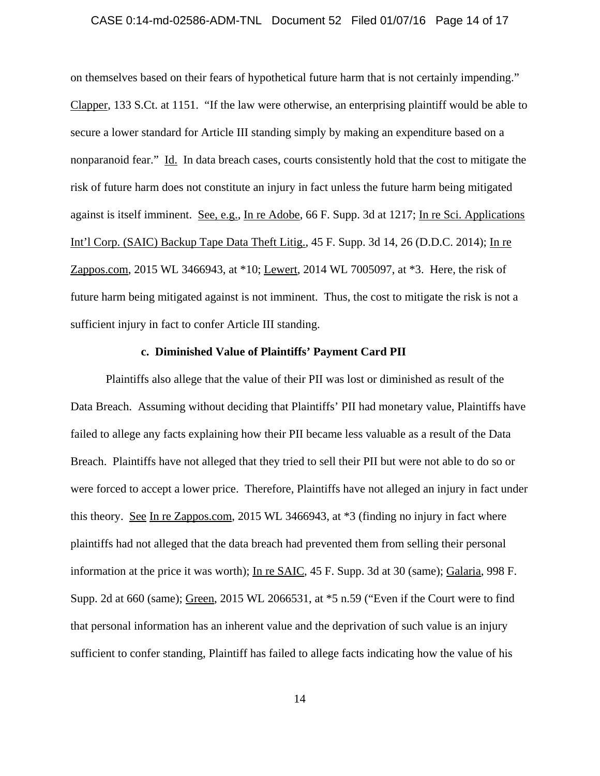### CASE 0:14-md-02586-ADM-TNL Document 52 Filed 01/07/16 Page 14 of 17

on themselves based on their fears of hypothetical future harm that is not certainly impending." Clapper, 133 S.Ct. at 1151. "If the law were otherwise, an enterprising plaintiff would be able to secure a lower standard for Article III standing simply by making an expenditure based on a nonparanoid fear." Id. In data breach cases, courts consistently hold that the cost to mitigate the risk of future harm does not constitute an injury in fact unless the future harm being mitigated against is itself imminent. See, e.g., In re Adobe, 66 F. Supp. 3d at 1217; In re Sci. Applications Int'l Corp. (SAIC) Backup Tape Data Theft Litig., 45 F. Supp. 3d 14, 26 (D.D.C. 2014); In re Zappos.com, 2015 WL 3466943, at \*10; Lewert, 2014 WL 7005097, at \*3. Here, the risk of future harm being mitigated against is not imminent. Thus, the cost to mitigate the risk is not a sufficient injury in fact to confer Article III standing.

## **c. Diminished Value of Plaintiffs' Payment Card PII**

Plaintiffs also allege that the value of their PII was lost or diminished as result of the Data Breach. Assuming without deciding that Plaintiffs' PII had monetary value, Plaintiffs have failed to allege any facts explaining how their PII became less valuable as a result of the Data Breach. Plaintiffs have not alleged that they tried to sell their PII but were not able to do so or were forced to accept a lower price. Therefore, Plaintiffs have not alleged an injury in fact under this theory. See In re Zappos.com, 2015 WL 3466943, at \*3 (finding no injury in fact where plaintiffs had not alleged that the data breach had prevented them from selling their personal information at the price it was worth); In re SAIC, 45 F. Supp. 3d at 30 (same); Galaria, 998 F. Supp. 2d at 660 (same); Green, 2015 WL 2066531, at \*5 n.59 ("Even if the Court were to find that personal information has an inherent value and the deprivation of such value is an injury sufficient to confer standing, Plaintiff has failed to allege facts indicating how the value of his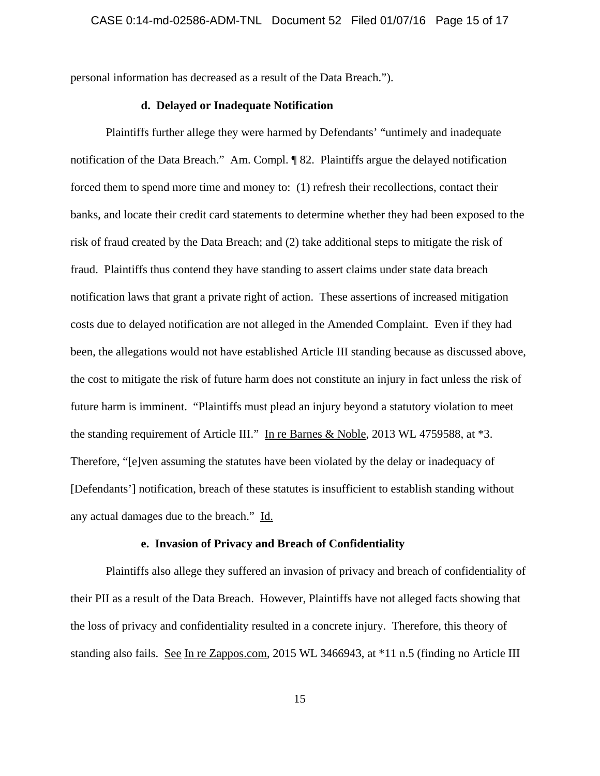personal information has decreased as a result of the Data Breach.").

## **d. Delayed or Inadequate Notification**

Plaintiffs further allege they were harmed by Defendants' "untimely and inadequate notification of the Data Breach." Am. Compl. ¶ 82. Plaintiffs argue the delayed notification forced them to spend more time and money to: (1) refresh their recollections, contact their banks, and locate their credit card statements to determine whether they had been exposed to the risk of fraud created by the Data Breach; and (2) take additional steps to mitigate the risk of fraud. Plaintiffs thus contend they have standing to assert claims under state data breach notification laws that grant a private right of action. These assertions of increased mitigation costs due to delayed notification are not alleged in the Amended Complaint. Even if they had been, the allegations would not have established Article III standing because as discussed above, the cost to mitigate the risk of future harm does not constitute an injury in fact unless the risk of future harm is imminent. "Plaintiffs must plead an injury beyond a statutory violation to meet the standing requirement of Article III." In re Barnes & Noble, 2013 WL 4759588, at \*3. Therefore, "[e]ven assuming the statutes have been violated by the delay or inadequacy of [Defendants'] notification, breach of these statutes is insufficient to establish standing without any actual damages due to the breach." Id.

## **e. Invasion of Privacy and Breach of Confidentiality**

Plaintiffs also allege they suffered an invasion of privacy and breach of confidentiality of their PII as a result of the Data Breach. However, Plaintiffs have not alleged facts showing that the loss of privacy and confidentiality resulted in a concrete injury. Therefore, this theory of standing also fails. See In re Zappos.com, 2015 WL 3466943, at \*11 n.5 (finding no Article III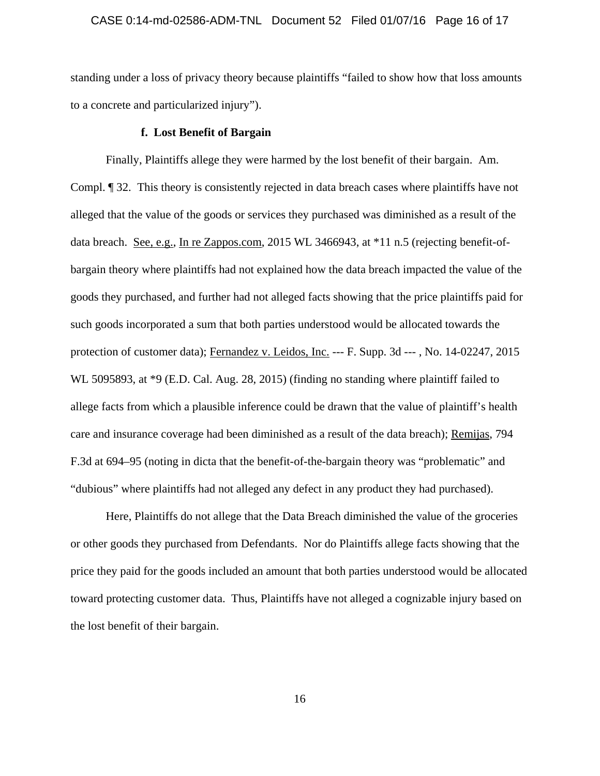#### CASE 0:14-md-02586-ADM-TNL Document 52 Filed 01/07/16 Page 16 of 17

standing under a loss of privacy theory because plaintiffs "failed to show how that loss amounts to a concrete and particularized injury").

#### **f. Lost Benefit of Bargain**

Finally, Plaintiffs allege they were harmed by the lost benefit of their bargain. Am. Compl. ¶ 32. This theory is consistently rejected in data breach cases where plaintiffs have not alleged that the value of the goods or services they purchased was diminished as a result of the data breach. <u>See, e.g.</u>, In re Zappos.com, 2015 WL 3466943, at \*11 n.5 (rejecting benefit-ofbargain theory where plaintiffs had not explained how the data breach impacted the value of the goods they purchased, and further had not alleged facts showing that the price plaintiffs paid for such goods incorporated a sum that both parties understood would be allocated towards the protection of customer data); Fernandez v. Leidos, Inc. --- F. Supp. 3d --- , No. 14-02247, 2015 WL 5095893, at \*9 (E.D. Cal. Aug. 28, 2015) (finding no standing where plaintiff failed to allege facts from which a plausible inference could be drawn that the value of plaintiff's health care and insurance coverage had been diminished as a result of the data breach); Remijas, 794 F.3d at 694–95 (noting in dicta that the benefit-of-the-bargain theory was "problematic" and "dubious" where plaintiffs had not alleged any defect in any product they had purchased).

Here, Plaintiffs do not allege that the Data Breach diminished the value of the groceries or other goods they purchased from Defendants. Nor do Plaintiffs allege facts showing that the price they paid for the goods included an amount that both parties understood would be allocated toward protecting customer data. Thus, Plaintiffs have not alleged a cognizable injury based on the lost benefit of their bargain.